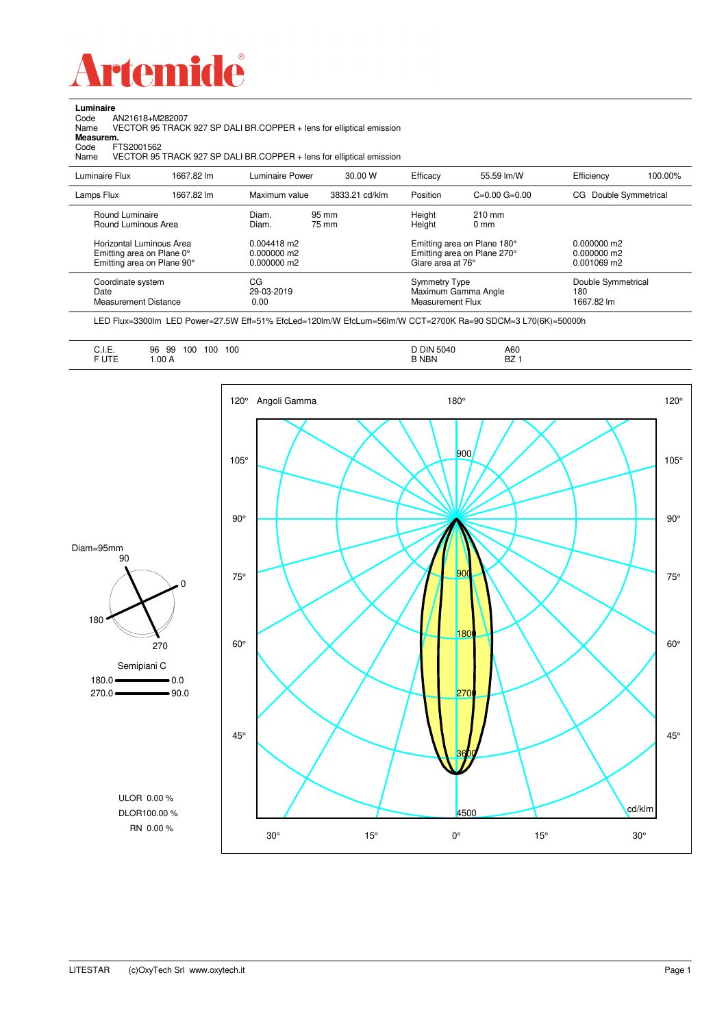

**Luminaire**

| Code<br>Name<br>Measurem.<br>Code<br>Name | AN21618+M282007<br>FTS2001562                                                       |            |                                           | VECTOR 95 TRACK 927 SP DALI BR.COPPER + lens for elliptical emission<br>VECTOR 95 TRACK 927 SP DALI BR.COPPER + lens for elliptical emission |                                                 |                                                            |                                           |         |
|-------------------------------------------|-------------------------------------------------------------------------------------|------------|-------------------------------------------|----------------------------------------------------------------------------------------------------------------------------------------------|-------------------------------------------------|------------------------------------------------------------|-------------------------------------------|---------|
| Luminaire Flux                            |                                                                                     | 1667.82 lm | Luminaire Power                           | 30.00 W                                                                                                                                      | Efficacy                                        | 55.59 lm/W                                                 | Efficiency                                | 100.00% |
| Lamps Flux                                |                                                                                     | 1667.82 lm | Maximum value                             | 3833.21 cd/klm                                                                                                                               | Position                                        | $C=0.00$ $G=0.00$                                          | Double Symmetrical<br>CG                  |         |
|                                           | Round Luminaire<br>Round Luminous Area                                              |            | Diam.<br>Diam.                            | 95 mm<br>75 mm                                                                                                                               | Height<br>Height                                | $210 \text{ mm}$<br>0 <sub>mm</sub>                        |                                           |         |
|                                           | Horizontal Luminous Area<br>Emitting area on Plane 0°<br>Emitting area on Plane 90° |            | 0.004418 m2<br>0.000000 m2<br>0.000000 m2 |                                                                                                                                              | Glare area at 76°                               | Emitting area on Plane 180°<br>Emitting area on Plane 270° | 0.000000 m2<br>0.000000 m2<br>0.001069 m2 |         |
| Date                                      | Coordinate system<br><b>Measurement Distance</b>                                    |            | CG<br>29-03-2019<br>0.00                  |                                                                                                                                              | <b>Symmetry Type</b><br><b>Measurement Flux</b> | Maximum Gamma Angle                                        | Double Symmetrical<br>180<br>1667.82 lm   |         |

LED Flux=3300lm LED Power=27.5W Eff=51% EfcLed=120lm/W EfcLum=56lm/W CCT=2700K Ra=90 SDCM=3 L70(6K)=50000h

|--|